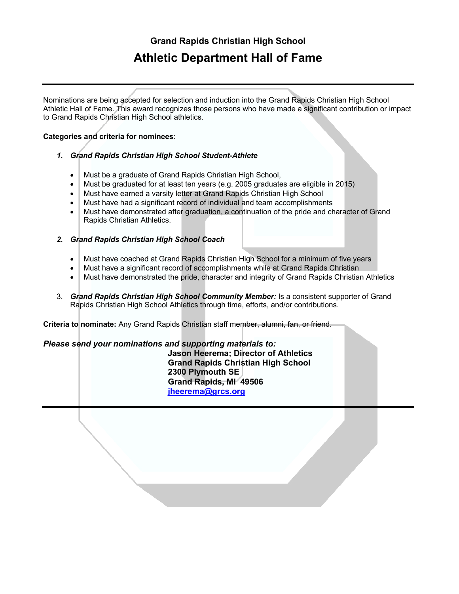# **Grand Rapids Christian High School Athletic Department Hall of Fame**

Nominations are being accepted for selection and induction into the Grand Rapids Christian High School Athletic Hall of Fame. This award recognizes those persons who have made a significant contribution or impact to Grand Rapids Christian High School athletics.

### **Categories and criteria for nominees:**

#### *1. Grand Rapids Christian High School Student-Athlete*

- Must be a graduate of Grand Rapids Christian High School,
- Must be graduated for at least ten years (e.g. 2005 graduates are eligible in 2015)
- Must have earned a varsity letter at Grand Rapids Christian High School
- Must have had a significant record of individual and team accomplishments
- Must have demonstrated after graduation, a continuation of the pride and character of Grand Rapids Christian Athletics.
- *2. Grand Rapids Christian High School Coach* 
	- Must have coached at Grand Rapids Christian High School for a minimum of five years
	- Must have a significant record of accomplishments while at Grand Rapids Christian
	- Must have demonstrated the pride, character and integrity of Grand Rapids Christian Athletics
- 3. *Grand Rapids Christian High School Community Member:* Is a consistent supporter of Grand Rapids Christian High School Athletics through time, efforts, and/or contributions.

**Criteria to nominate:** Any Grand Rapids Christian staff member, alumni, fan, or friend.

#### *Please send your nominations and supporting materials to:*

**Jason Heerema; Director of Athletics Grand Rapids Christian High School 2300 Plymouth SE Grand Rapids, MI 49506 jheerema@grcs.org**